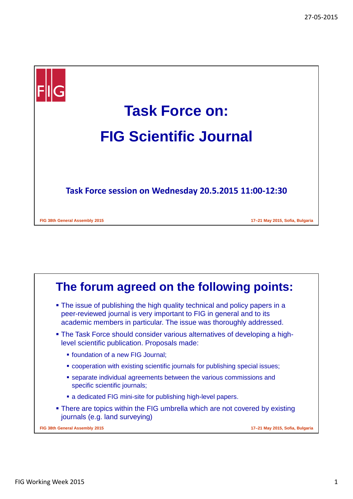

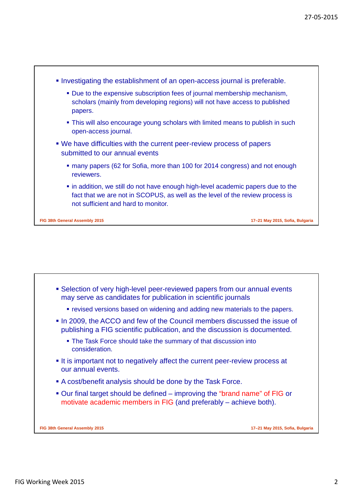